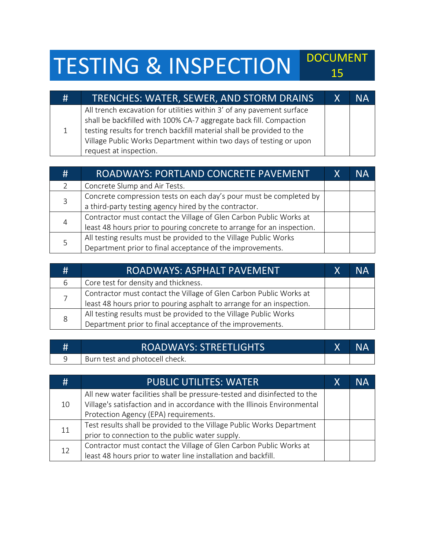## TESTING & INSPECTION DOCUMENT

| # | TRENCHES: WATER, SEWER, AND STORM DRAINS                                                                                                                                                                                                                                                                             | $\mathsf{X}$ | <b>NA</b> |
|---|----------------------------------------------------------------------------------------------------------------------------------------------------------------------------------------------------------------------------------------------------------------------------------------------------------------------|--------------|-----------|
|   | All trench excavation for utilities within 3' of any pavement surface<br>shall be backfilled with 100% CA-7 aggregate back fill. Compaction<br>testing results for trench backfill material shall be provided to the<br>Village Public Works Department within two days of testing or upon<br>request at inspection. |              |           |

| # | ROADWAYS: PORTLAND CONCRETE PAVEMENT                                   | X | NΑ |
|---|------------------------------------------------------------------------|---|----|
|   | Concrete Slump and Air Tests.                                          |   |    |
|   | Concrete compression tests on each day's pour must be completed by     |   |    |
|   | a third-party testing agency hired by the contractor.                  |   |    |
| 4 | Contractor must contact the Village of Glen Carbon Public Works at     |   |    |
|   | least 48 hours prior to pouring concrete to arrange for an inspection. |   |    |
|   | All testing results must be provided to the Village Public Works       |   |    |
|   | Department prior to final acceptance of the improvements.              |   |    |

| # | ROADWAYS: ASPHALT PAVEMENT                                            | Χ | NА |
|---|-----------------------------------------------------------------------|---|----|
| 6 | Core test for density and thickness.                                  |   |    |
|   | Contractor must contact the Village of Glen Carbon Public Works at    |   |    |
|   | least 48 hours prior to pouring asphalt to arrange for an inspection. |   |    |
| 8 | All testing results must be provided to the Village Public Works      |   |    |
|   | Department prior to final acceptance of the improvements.             |   |    |

| # | <b>ROADWAYS: STREETLIGHTS</b>  | <b>NA</b> |
|---|--------------------------------|-----------|
|   | Burn test and photocell check. |           |

| $#_1$ | <b>PUBLIC UTILITES: WATER</b>                                            | Х | NА |
|-------|--------------------------------------------------------------------------|---|----|
|       | All new water facilities shall be pressure-tested and disinfected to the |   |    |
| 10    | Village's satisfaction and in accordance with the Illinois Environmental |   |    |
|       | Protection Agency (EPA) requirements.                                    |   |    |
| 11    | Test results shall be provided to the Village Public Works Department    |   |    |
|       | prior to connection to the public water supply.                          |   |    |
|       | Contractor must contact the Village of Glen Carbon Public Works at       |   |    |
| 12    | least 48 hours prior to water line installation and backfill.            |   |    |